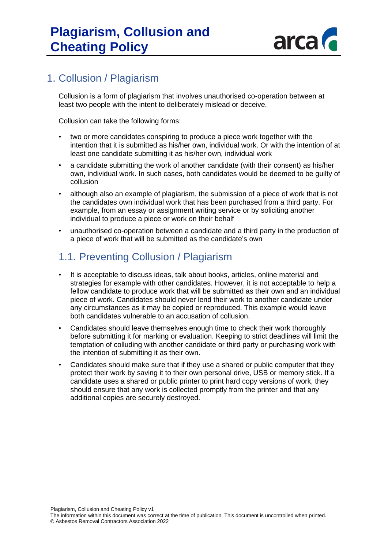

### 1. Collusion / Plagiarism

Collusion is a form of plagiarism that involves unauthorised co-operation between at least two people with the intent to deliberately mislead or deceive.

Collusion can take the following forms:

- two or more candidates conspiring to produce a piece work together with the intention that it is submitted as his/her own, individual work. Or with the intention of at least one candidate submitting it as his/her own, individual work
- a candidate submitting the work of another candidate (with their consent) as his/her own, individual work. In such cases, both candidates would be deemed to be guilty of collusion
- although also an example of plagiarism, the submission of a piece of work that is not the candidates own individual work that has been purchased from a third party. For example, from an essay or assignment writing service or by soliciting another individual to produce a piece or work on their behalf
- unauthorised co-operation between a candidate and a third party in the production of a piece of work that will be submitted as the candidate's own

## 1.1. Preventing Collusion / Plagiarism

- It is acceptable to discuss ideas, talk about books, articles, online material and strategies for example with other candidates. However, it is not acceptable to help a fellow candidate to produce work that will be submitted as their own and an individual piece of work. Candidates should never lend their work to another candidate under any circumstances as it may be copied or reproduced. This example would leave both candidates vulnerable to an accusation of collusion.
- Candidates should leave themselves enough time to check their work thoroughly before submitting it for marking or evaluation. Keeping to strict deadlines will limit the temptation of colluding with another candidate or third party or purchasing work with the intention of submitting it as their own.
- Candidates should make sure that if they use a shared or public computer that they protect their work by saving it to their own personal drive, USB or memory stick. If a candidate uses a shared or public printer to print hard copy versions of work, they should ensure that any work is collected promptly from the printer and that any additional copies are securely destroyed.

Plagiarism, Collusion and Cheating Policy v1

The information within this document was correct at the time of publication. This document is uncontrolled when printed. © Asbestos Removal Contractors Association 2022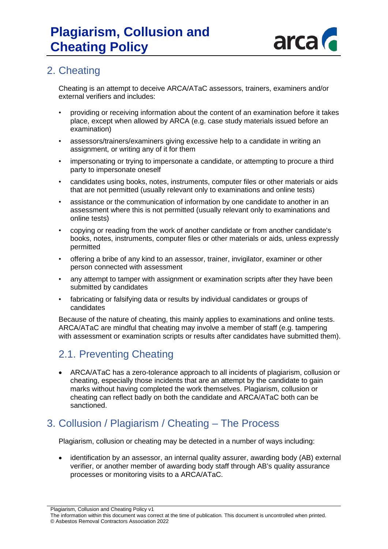

### 2. Cheating

Cheating is an attempt to deceive ARCA/ATaC assessors, trainers, examiners and/or external verifiers and includes:

- providing or receiving information about the content of an examination before it takes place, except when allowed by ARCA (e.g. case study materials issued before an examination)
- assessors/trainers/examiners giving excessive help to a candidate in writing an assignment, or writing any of it for them
- impersonating or trying to impersonate a candidate, or attempting to procure a third party to impersonate oneself
- candidates using books, notes, instruments, computer files or other materials or aids that are not permitted (usually relevant only to examinations and online tests)
- assistance or the communication of information by one candidate to another in an assessment where this is not permitted (usually relevant only to examinations and online tests)
- copying or reading from the work of another candidate or from another candidate's books, notes, instruments, computer files or other materials or aids, unless expressly permitted
- offering a bribe of any kind to an assessor, trainer, invigilator, examiner or other person connected with assessment
- any attempt to tamper with assignment or examination scripts after they have been submitted by candidates
- fabricating or falsifying data or results by individual candidates or groups of candidates

Because of the nature of cheating, this mainly applies to examinations and online tests. ARCA/ATaC are mindful that cheating may involve a member of staff (e.g. tampering with assessment or examination scripts or results after candidates have submitted them).

### 2.1. Preventing Cheating

• ARCA/ATaC has a zero-tolerance approach to all incidents of plagiarism, collusion or cheating, especially those incidents that are an attempt by the candidate to gain marks without having completed the work themselves. Plagiarism, collusion or cheating can reflect badly on both the candidate and ARCA/ATaC both can be sanctioned.

## 3. Collusion / Plagiarism / Cheating – The Process

Plagiarism, collusion or cheating may be detected in a number of ways including:

• identification by an assessor, an internal quality assurer, awarding body (AB) external verifier, or another member of awarding body staff through AB's quality assurance processes or monitoring visits to a ARCA/ATaC.

Plagiarism, Collusion and Cheating Policy v1

The information within this document was correct at the time of publication. This document is uncontrolled when printed. © Asbestos Removal Contractors Association 2022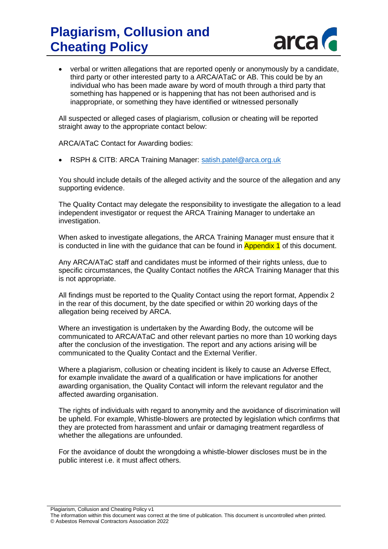# **Plagiarism, Collusion and Cheating Policy**



• verbal or written allegations that are reported openly or anonymously by a candidate, third party or other interested party to a ARCA/ATaC or AB. This could be by an individual who has been made aware by word of mouth through a third party that something has happened or is happening that has not been authorised and is inappropriate, or something they have identified or witnessed personally

All suspected or alleged cases of plagiarism, collusion or cheating will be reported straight away to the appropriate contact below:

ARCA/ATaC Contact for Awarding bodies:

RSPH & CITB: ARCA Training Manager: [satish.patel@arca.org.uk](mailto:satish.patel@arca.org.uk)

You should include details of the alleged activity and the source of the allegation and any supporting evidence.

The Quality Contact may delegate the responsibility to investigate the allegation to a lead independent investigator or request the ARCA Training Manager to undertake an investigation.

When asked to investigate allegations, the ARCA Training Manager must ensure that it is conducted in line with the quidance that can be found in **Appendix 1** of this document.

Any ARCA/ATaC staff and candidates must be informed of their rights unless, due to specific circumstances, the Quality Contact notifies the ARCA Training Manager that this is not appropriate.

All findings must be reported to the Quality Contact using the report format, Appendix 2 in the rear of this document, by the date specified or within 20 working days of the allegation being received by ARCA.

Where an investigation is undertaken by the Awarding Body, the outcome will be communicated to ARCA/ATaC and other relevant parties no more than 10 working days after the conclusion of the investigation. The report and any actions arising will be communicated to the Quality Contact and the External Verifier.

Where a plagiarism, collusion or cheating incident is likely to cause an Adverse Effect, for example invalidate the award of a qualification or have implications for another awarding organisation, the Quality Contact will inform the relevant regulator and the affected awarding organisation.

The rights of individuals with regard to anonymity and the avoidance of discrimination will be upheld. For example, Whistle-blowers are protected by legislation which confirms that they are protected from harassment and unfair or damaging treatment regardless of whether the allegations are unfounded.

For the avoidance of doubt the wrongdoing a whistle-blower discloses must be in the public interest i.e. it must affect others.

Plagiarism, Collusion and Cheating Policy v1

The information within this document was correct at the time of publication. This document is uncontrolled when printed. © Asbestos Removal Contractors Association 2022